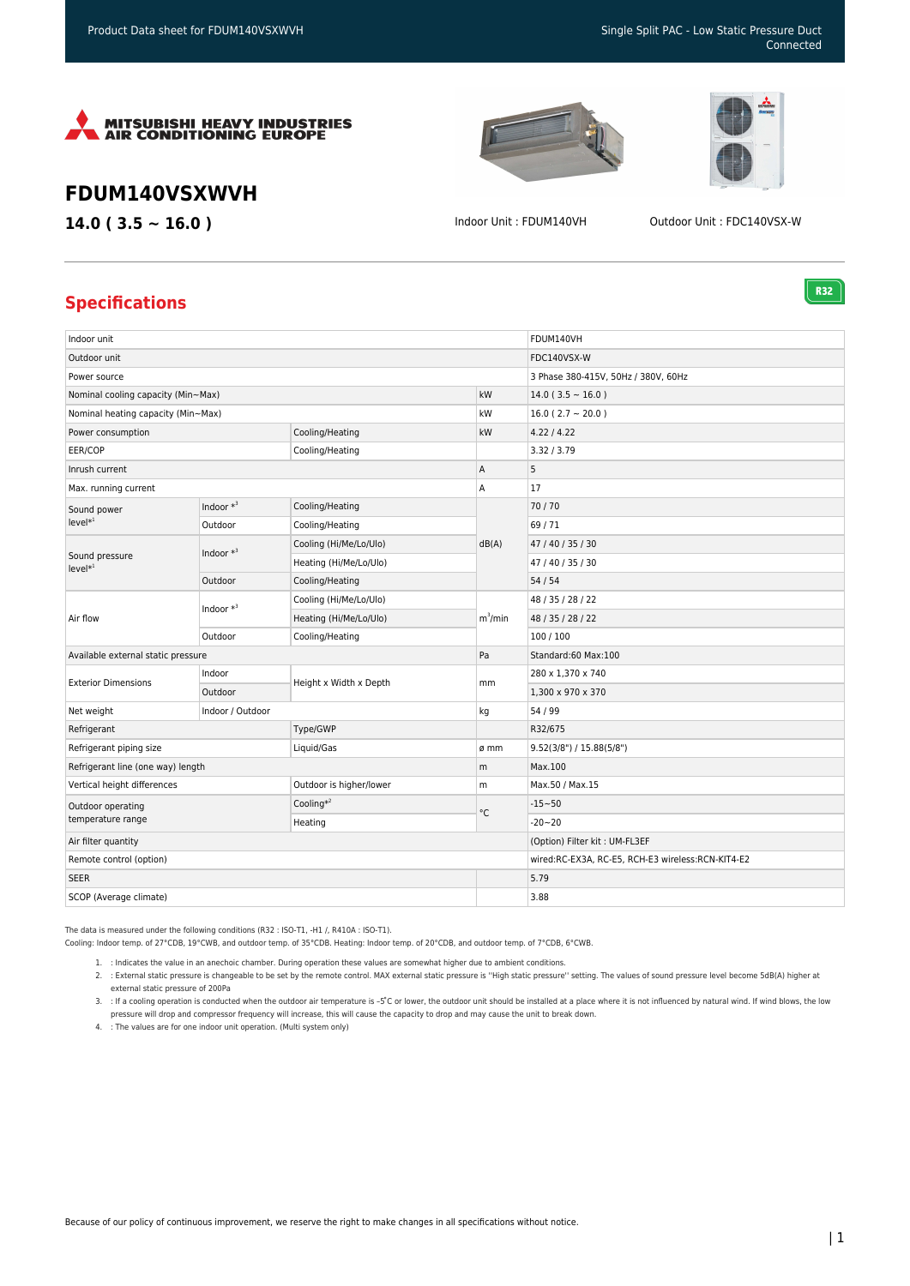



**R32** 

## **FDUM140VSXWVH**

**14.0 ( 3.5 ~ 16.0 )** Indoor Unit : FDUM140VH Outdoor Unit : FDC140VSX-W

## **Specifications**

| Indoor unit                            |              |                         |                   | FDUM140VH                                         |
|----------------------------------------|--------------|-------------------------|-------------------|---------------------------------------------------|
| Outdoor unit                           |              |                         |                   | FDC140VSX-W                                       |
| Power source                           |              |                         |                   | 3 Phase 380-415V, 50Hz / 380V, 60Hz               |
| Nominal cooling capacity (Min~Max)     |              |                         | kW                | $14.0$ (3.5 ~ 16.0)                               |
| Nominal heating capacity (Min~Max)     |              |                         | kW                | $16.0(2.7 \sim 20.0)$                             |
| Power consumption                      |              | Cooling/Heating         | kW                | 4.22 / 4.22                                       |
| EER/COP                                |              | Cooling/Heating         |                   | 3.32 / 3.79                                       |
| Inrush current                         |              |                         | Α                 | 5                                                 |
| Max. running current                   |              |                         | A                 | 17                                                |
| Sound power<br>$level*1$               | Indoor $*^3$ | Cooling/Heating         | dB(A)             | 70/70                                             |
|                                        | Outdoor      | Cooling/Heating         |                   | 69/71                                             |
| Sound pressure<br>$level*1$            | Indoor $*^3$ | Cooling (Hi/Me/Lo/Ulo)  |                   | 47 / 40 / 35 / 30                                 |
|                                        |              | Heating (Hi/Me/Lo/Ulo)  |                   | 47 / 40 / 35 / 30                                 |
|                                        | Outdoor      | Cooling/Heating         |                   | 54/54                                             |
| Air flow                               | Indoor $*^3$ | Cooling (Hi/Me/Lo/Ulo)  | $m^3/m$ in        | 48 / 35 / 28 / 22                                 |
|                                        |              | Heating (Hi/Me/Lo/Ulo)  |                   | 48 / 35 / 28 / 22                                 |
|                                        | Outdoor      | Cooling/Heating         |                   | 100/100                                           |
| Available external static pressure     |              |                         | Pa                | Standard:60 Max:100                               |
| <b>Exterior Dimensions</b>             | Indoor       | Height x Width x Depth  | mm                | 280 x 1,370 x 740                                 |
|                                        | Outdoor      |                         |                   | 1,300 x 970 x 370                                 |
| Indoor / Outdoor<br>Net weight         |              |                         | kg                | 54 / 99                                           |
| Refrigerant                            |              | Type/GWP                |                   | R32/675                                           |
| Refrigerant piping size                |              | Liquid/Gas              | ø mm              | 9.52(3/8") / 15.88(5/8")                          |
| Refrigerant line (one way) length      |              |                         | m                 | Max.100                                           |
| Vertical height differences            |              | Outdoor is higher/lower | m                 | Max.50 / Max.15                                   |
| Outdoor operating<br>temperature range |              | Cooling $*^2$           | $^{\circ}{\rm C}$ | $-15 - 50$                                        |
|                                        |              | Heating                 |                   | $-20 - 20$                                        |
| Air filter quantity                    |              |                         |                   | (Option) Filter kit: UM-FL3EF                     |
| Remote control (option)                |              |                         |                   | wired:RC-EX3A, RC-E5, RCH-E3 wireless:RCN-KIT4-E2 |
| <b>SEER</b>                            |              |                         |                   | 5.79                                              |
| SCOP (Average climate)                 |              |                         |                   | 3.88                                              |

The data is measured under the following conditions (R32 : ISO-T1, -H1 /, R410A : ISO-T1).

Cooling: Indoor temp. of 27°CDB, 19°CWB, and outdoor temp. of 35°CDB. Heating: Indoor temp. of 20°CDB, and outdoor temp. of 7°CDB, 6°CWB.

1. : Indicates the value in an anechoic chamber. During operation these values are somewhat higher due to ambient conditions.

2. : External static pressure is changeable to be set by the remote control. MAX external static pressure is ''High static pressure'' setting. The values of sound pressure level become 5dB(A) higher at external static pressure of 200Pa

3. : If a cooling operation is conducted when the outdoor air temperature is –5°C or lower, the outdoor unit should be installed at a place where it is not influenced by natural wind. If wind blows, the low pressure will drop and compressor frequency will increase, this will cause the capacity to drop and may cause the unit to break down.

4. : The values are for one indoor unit operation. (Multi system only)